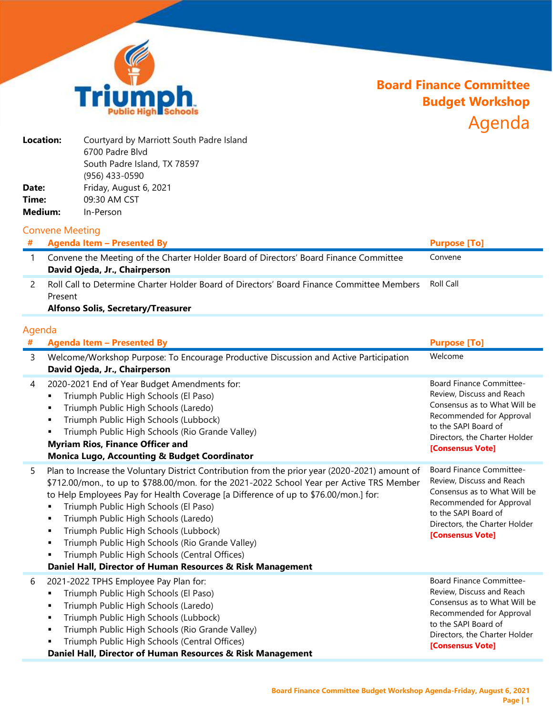

## **Board Finance Committee Budget Workshop** Agenda

| Location: | Courtyard by Marriott South Padre Island |
|-----------|------------------------------------------|
|           | 6700 Padre Blvd                          |
|           | South Padre Island, TX 78597             |
|           | (956) 433-0590                           |
| Date:     | Friday, August 6, 2021                   |
| Time:     | 09:30 AM CST                             |
| Medium:   | In-Person                                |

## Convene Meeting

| <b>Agenda Item - Presented By</b>                                                                                      | <b>Purpose [To]</b> |
|------------------------------------------------------------------------------------------------------------------------|---------------------|
| Convene the Meeting of the Charter Holder Board of Directors' Board Finance Committee<br>David Ojeda, Jr., Chairperson | Convene             |
| Roll Call to Determine Charter Holder Board of Directors' Board Finance Committee Members<br>Present                   | Roll Call           |

## **Alfonso Solis, Secretary/Treasurer**

## Agenda

| # | <b>Agenda Item - Presented By</b>                                                                                                                                                                                                                                                                                                                                                                                                                                                                                                                                                             | <b>Purpose [To]</b>                                                                                                                                                                                   |
|---|-----------------------------------------------------------------------------------------------------------------------------------------------------------------------------------------------------------------------------------------------------------------------------------------------------------------------------------------------------------------------------------------------------------------------------------------------------------------------------------------------------------------------------------------------------------------------------------------------|-------------------------------------------------------------------------------------------------------------------------------------------------------------------------------------------------------|
| 3 | Welcome/Workshop Purpose: To Encourage Productive Discussion and Active Participation<br>David Ojeda, Jr., Chairperson                                                                                                                                                                                                                                                                                                                                                                                                                                                                        | Welcome                                                                                                                                                                                               |
| 4 | 2020-2021 End of Year Budget Amendments for:<br>Triumph Public High Schools (El Paso)<br>٠<br>Triumph Public High Schools (Laredo)<br>٠<br>Triumph Public High Schools (Lubbock)<br>٠<br>Triumph Public High Schools (Rio Grande Valley)<br>٠<br><b>Myriam Rios, Finance Officer and</b><br><b>Monica Lugo, Accounting &amp; Budget Coordinator</b>                                                                                                                                                                                                                                           | Board Finance Committee-<br>Review, Discuss and Reach<br>Consensus as to What Will be<br>Recommended for Approval<br>to the SAPI Board of<br>Directors, the Charter Holder<br>[Consensus Vote]        |
| 5 | Plan to Increase the Voluntary District Contribution from the prior year (2020-2021) amount of<br>\$712.00/mon., to up to \$788.00/mon. for the 2021-2022 School Year per Active TRS Member<br>to Help Employees Pay for Health Coverage [a Difference of up to \$76.00/mon.] for:<br>Triumph Public High Schools (El Paso)<br>Triumph Public High Schools (Laredo)<br>٠<br>Triumph Public High Schools (Lubbock)<br>٠<br>Triumph Public High Schools (Rio Grande Valley)<br>٠<br>Triumph Public High Schools (Central Offices)<br>Daniel Hall, Director of Human Resources & Risk Management | <b>Board Finance Committee-</b><br>Review, Discuss and Reach<br>Consensus as to What Will be<br>Recommended for Approval<br>to the SAPI Board of<br>Directors, the Charter Holder<br>[Consensus Vote] |
| 6 | 2021-2022 TPHS Employee Pay Plan for:<br>Triumph Public High Schools (El Paso)<br>Triumph Public High Schools (Laredo)<br>٠<br>Triumph Public High Schools (Lubbock)<br>٠<br>Triumph Public High Schools (Rio Grande Valley)<br>Triumph Public High Schools (Central Offices)<br>Daniel Hall, Director of Human Resources & Risk Management                                                                                                                                                                                                                                                   | Board Finance Committee-<br>Review, Discuss and Reach<br>Consensus as to What Will be<br>Recommended for Approval<br>to the SAPI Board of<br>Directors, the Charter Holder<br>[Consensus Vote]        |